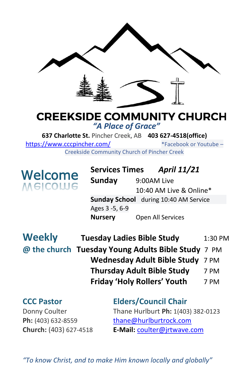

### **CREEKSIDE COMMUNITY CHURCH** *"A Place of Grace"*

**637 Charlotte St.** Pincher Creek, AB **403 627-4518(office)**  <https://www.cccpincher.com/>\*Facebook or Youtube – Creekside Community Church of Pincher Creek

**Welcome**<br>Melcolue

**! Services Times** *April 11/21* **Sunday** 9:00AM Live 10:40 AM Live & Online\* **Sunday School** during 10:40 AM Service Ages 3 -5, 6-9 **Nursery** Open All Services

| <b>Weekly</b> | <b>Tuesday Ladies Bible Study</b>                  | 1:30 PM |
|---------------|----------------------------------------------------|---------|
|               | @ the church Tuesday Young Adults Bible Study 7 PM |         |
|               | Wednesday Adult Bible Study 7 PM                   |         |
|               | <b>Thursday Adult Bible Study</b>                  | 7 PM    |
|               | <b>Friday 'Holy Rollers' Youth</b>                 | 7 PM    |

## **CCC Pastor Elders/Council Chair** Donny Coulter Thane Hurlburt **Ph:** 1(403) 382-0123 Ph: (403) 632-8559 [thane@hurlburtrock.com](mailto:thane@hurlburtrock.com)

**Church:** (403) 627-4518 **E-Mail:** [coulter@jrtwave.com](mailto:coulter@jrtwave.com)

*"To know Christ, and to make Him known locally and globally"*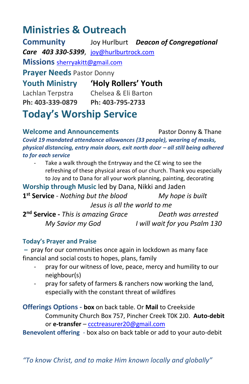# **Ministries & Outreach**

**Community** Joy Hurlburt *Deacon of Congregational Care 403 330-5399*, [joy@hurlburtrock.com](mailto:joy@hurlburtrock.com) **Missions** [sherryakitt@gmail.com](mailto:sherryakitt@gmail.com) **Prayer Needs** Pastor Donny **Youth Ministry 'Holy Rollers' Youth** Lachlan Terpstra Chelsea & Eli Barton **Ph: 403-339-0879 Ph: 403-795-2733 Today's Worship Service**

**Welcome and Announcements** Pastor Donny & Thane *Covid 19 mandated attendance allowances (33 people), wearing of masks, physical distancing, entry main doors, exit north door – all still being adhered to for each service*

Take a walk through the Entryway and the CE wing to see the refreshing of these physical areas of our church. Thank you especially to Joy and to Dana for all your work planning, painting, decorating

**Worship through Music** led by Dana, Nikki and Jaden **1 st Service** - *Nothing but the blood My hope is built Jesus is all the world to me* **2 nd Service -** *This is amazing Grace Death was arrested My Savior my God I will wait for you Psalm 130*

#### **Today's Prayer and Praise**

**–** pray for our communities once again in lockdown as many face financial and social costs to hopes, plans, family

- pray for our witness of love, peace, mercy and humility to our neighbour(s)
- pray for safety of farmers & ranchers now working the land, especially with the constant threat of wildfires

**Offerings Options - box** on back table. Or **Mail** to Creekside Community Church Box 757, Pincher Creek T0K 2J0. **Auto-debit** or **e-transfer** – [ccctreasurer20@gmail.com](mailto:ccctreasurer20@gmail.com)

**Benevolent offering** - box also on back table or add to your auto-debit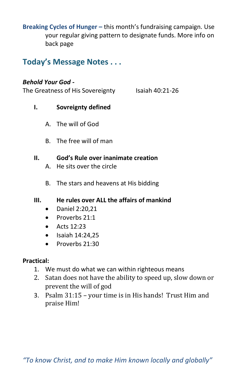**Breaking Cycles of Hunger –** this month's fundraising campaign. Use your regular giving pattern to designate funds. More info on back page

**Today's Message Notes . . .**

#### *Behold Your God -*

The Greatness of His Sovereignty Isaiah 40:21-26

- **I. Sovreignty defined**
	- A. The will of God
	- B. The free will of man

#### **II. God's Rule over inanimate creation**

- A. He sits over the circle
- B. The stars and heavens at His bidding

#### **III. He rules over ALL the affairs of mankind**

- Daniel 2:20,21
- Proverbs 21:1
- Acts 12:23
- Isaiah 14:24,25
- Proverbs 21:30

#### **Practical:**

- 1. We must do what we can within righteous means
- 2. Satan does not have the ability to speed up, slow down or prevent the will of god
- 3. Psalm 31:15 your time is in His hands! Trust Him and praise Him!

*"To know Christ, and to make Him known locally and globally"*